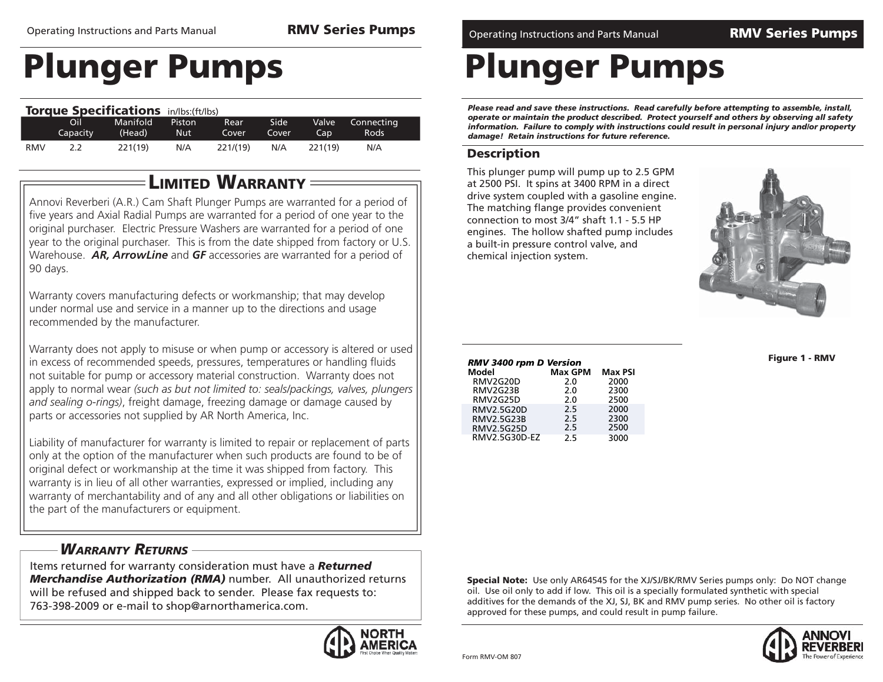|            |          | <b>Torque Specifications</b> in/lbs: (ft/lbs) |            |             |       |         |             |  |
|------------|----------|-----------------------------------------------|------------|-------------|-------|---------|-------------|--|
|            | Oil      | Manifold                                      | Piston     | <b>Rear</b> | Side  | Valve   | Connecting  |  |
|            | Capacity | (Head)                                        | <b>Nut</b> | Cover       | Cover | Cap     | <b>Rods</b> |  |
| <b>RMV</b> | 2.2      | 221(19)                                       | N/A        | 221/(19)    | N/A   | 221(19) | N/A         |  |

### **LIMITED WARRANTY**

Annovi Reverberi (A.R.) Cam Shaft Plunger Pumps are warranted for a period of five years and Axial Radial Pumps are warranted for a period of one year to the original purchaser. Electric Pressure Washers are warranted for a period of one year to the original purchaser. This is from the date shipped from factory or U.S. Warehouse. *AR, ArrowLine* and *GF* accessories are warranted for a period of 90 days.

Warranty covers manufacturing defects or workmanship; that may develop under normal use and service in a manner up to the directions and usage recommended by the manufacturer.

Warranty does not apply to misuse or when pump or accessory is altered or used in excess of recommended speeds, pressures, temperatures or handling fluids not suitable for pump or accessory material construction. Warranty does not apply to normal wear *(such as but not limited to: seals/packings, valves, plungers and sealing o-rings)*, freight damage, freezing damage or damage caused by parts or accessories not supplied by AR North America, Inc.

Liability of manufacturer for warranty is limited to repair or replacement of parts only at the option of the manufacturer when such products are found to be of original defect or workmanship at the time it was shipped from factory. This warranty is in lieu of all other warranties, expressed or implied, including any warranty of merchantability and of any and all other obligations or liabilities on the part of the manufacturers or equipment.

### *WARRANTY RETURNS*

Items returned for warranty consideration must have a *Returned Merchandise Authorization (RMA)* number. All unauthorized returns will be refused and shipped back to sender. Please fax requests to: 763-398-2009 or e-mail to shop@arnorthamerica.com.



Operating Instructions and Parts Manual **RMV Series Pumps** Operating Instructions and Parts Manual **RMV Series Pumps**

## **Plunger Pumps**

*Please read and save these instructions. Read carefully before attempting to assemble, install, operate or maintain the product described. Protect yourself and others by observing all safety information. Failure to comply with instructions could result in personal injury and/or property damage! Retain instructions for future reference.*

### **Description**

This plunger pump will pump up to 2.5 GPM at 2500 PSI. It spins at 3400 RPM in a direct drive system coupled with a gasoline engine. The matching flange provides convenient connection to most 3/4" shaft 1.1 - 5.5 HP engines. The hollow shafted pump includes a built-in pressure control valve, and chemical injection system.



**Figure 1 - RMV**

| ווטוכזש ע וווקז טט <del>ו</del> כ אואו |         |                |  |  |  |  |  |
|----------------------------------------|---------|----------------|--|--|--|--|--|
| Model                                  | Max GPM | <b>Max PSI</b> |  |  |  |  |  |
| RMV2G20D                               | 2.0     | 2000           |  |  |  |  |  |
| RMV2G23B                               | 2.0     | 2300           |  |  |  |  |  |
| RMV2G25D                               | 2.0     | 2500           |  |  |  |  |  |
| RMV2.5G20D                             | 2.5     | 2000           |  |  |  |  |  |
| RMV2.5G23B                             | 2.5     | 2300           |  |  |  |  |  |

2.52.5

*RMV 3400 rpm D Version*

 RMV2.5G25DRMV2.5G30D-EZ

**Special Note:** Use only AR64545 for the XJ/SJ/BK/RMV Series pumps only: Do NOT change oil. Use oil only to add if low. This oil is a specially formulated synthetic with special additives for the demands of the XJ, SJ, BK and RMV pump series. No other oil is factory approved for these pumps, and could result in pump failure.

2500

3000

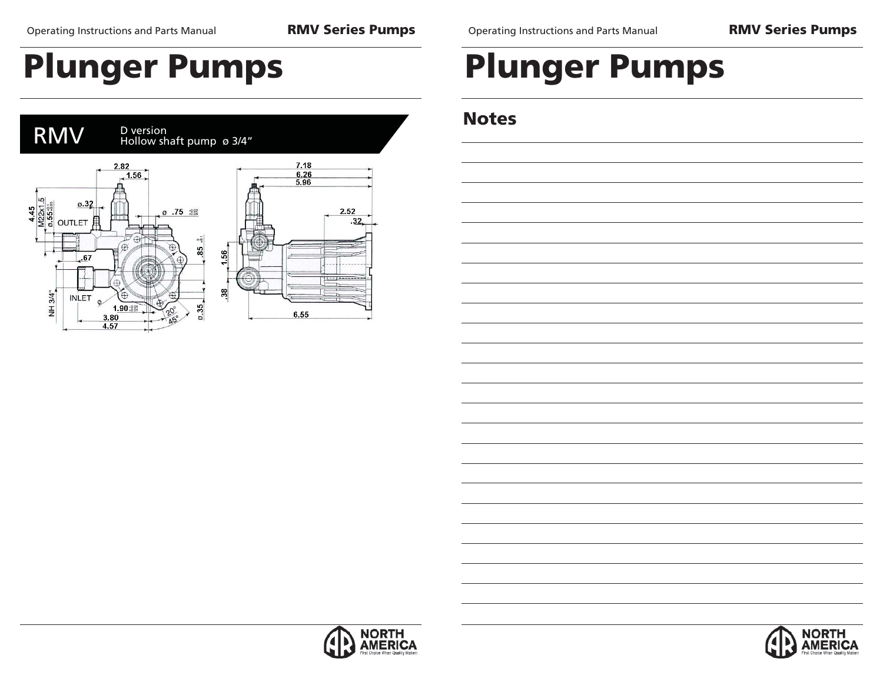Operating Instructions and Parts Manual **RMV Series Pumps**

# **Plunger Pumps**



# **Plunger Pumps**

## **Notes**



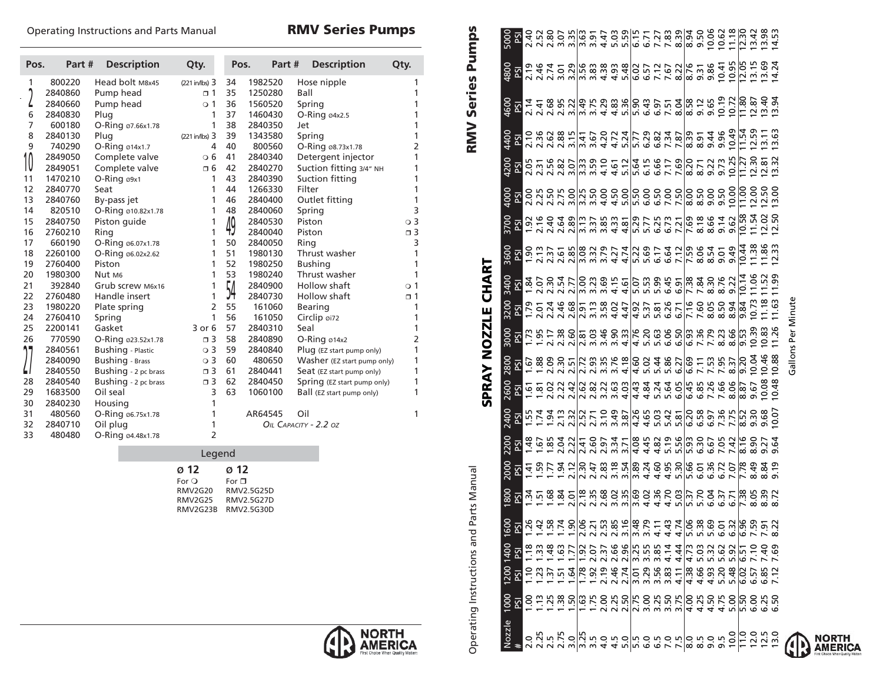### Operating Instructions and Parts Manual **RMV Series Pumps**

| Pos. | Part#   | <b>Description</b>       | Qty.               | Pos. |         | Part#  |        | <b>Description</b>          | Qty.           |
|------|---------|--------------------------|--------------------|------|---------|--------|--------|-----------------------------|----------------|
| 1    | 800220  | Head bolt M8x45          | $(221$ in/lbs) $3$ | 34   | 1982520 |        |        | Hose nipple                 | 1              |
|      | 2840860 | Pump head                | $\Box$ 1           | 35   | 1250280 |        | Ball   |                             | 1              |
| L    | 2840660 | Pump head                | $\circ$ 1          | 36   | 1560520 |        | Spring |                             | 1              |
| 6    | 2840830 | Plug                     | 1                  | 37   | 1460430 |        |        | $O-Ring$ $04x2.5$           | 1              |
| 7    | 600180  | O-Ring 07.66x1.78        | 1                  | 38   | 2840350 |        | Jet    |                             | 1              |
| 8    | 2840130 | Plug                     | $(221$ in/lbs) $3$ | 39   | 1343580 |        | Spring |                             | 1              |
| 9    | 740290  | O-Ring ø14x1.7           | 4                  | 40   | 800560  |        |        | O-Ring 08.73x1.78           | 2              |
| 10   | 2849050 | Complete valve           | $\circ$ 6          | 41   | 2840340 |        |        | Detergent injector          | 1              |
|      | 2849051 | Complete valve           | п6                 | 42   | 2840270 |        |        | Suction fitting 3/4" NH     | 1              |
| 11   | 1470210 | $O-Ring$ $\omega$ 9x1    | 1                  | 43   | 2840390 |        |        | Suction fitting             | 1              |
| 12   | 2840770 | Seat                     | 1                  | 44   | 1266330 |        | Filter |                             | 1              |
| 13   | 2840760 | By-pass jet              | 1                  | 46   | 2840400 |        |        | Outlet fitting              | 1              |
| 14   | 820510  | O-Ring 010.82x1.78       | 1                  | 48   | 2840060 |        | Spring |                             | 3              |
| 15   | 2840750 | Piston quide             | 1                  | 49   | 2840530 |        | Piston |                             | $\circ$ 3      |
| 16   | 2760210 | Ring                     | 1                  |      | 2840040 |        | Piston |                             | $\Box$ 3       |
| 17   | 660190  | O-Ring 06.07x1.78        | 1                  | 50   | 2840050 |        | Ring   |                             | 3              |
| 18   | 2260100 | O-Ring 06.02x2.62        | 1                  | 51   | 1980130 |        |        | Thrust washer               | 1              |
| 19   | 2760400 | Piston                   | 1                  | 52   | 1980250 |        |        | <b>Bushing</b>              | 1              |
| 20   | 1980300 | Nut M <sub>6</sub>       | 1                  | 53   | 1980240 |        |        | Thrust washer               | 1              |
| 21   | 392840  | Grub screw M6x16         | 1                  | 54   | 2840900 |        |        | Hollow shaft                | $\circ$ 1      |
| 22   | 2760480 | Handle insert            | 1                  |      | 2840730 |        |        | Hollow shaft                | $\sqrt{1}$     |
| 23   | 1980220 | Plate spring             | $\overline{2}$     | 55   |         | 161060 |        | <b>Bearing</b>              | 1              |
| 24   | 2760410 | Spring                   | 1                  | 56   |         | 161050 |        | Circlip øi72                | 1              |
| 25   | 2200141 | Gasket                   | 3 or 6             | 57   | 2840310 |        | Seal   |                             | 1              |
| 26   | 770590  | O-Ring 023.52x1.78       | $\Box$ 3           | 58   | 2840890 |        |        | $O-Ring$ 014x2              | $\overline{2}$ |
|      | 2840561 | <b>Bushing</b> - Plastic | $\circ$ 3          | 59   | 2840840 |        |        | Plug (EZ start pump only)   | 1              |
|      | 2840090 | <b>Bushing</b> - Brass   | $\circ$ 3          | 60   | 480650  |        |        | Washer (EZ start pump only) | 1              |
|      | 2840550 | Bushing - 2 pc brass     | $\Box$ 3           | 61   | 2840441 |        |        | Seat (EZ start pump only)   | 1              |
| 28   | 2840540 | Bushing - 2 pc brass     | $\Box$ 3           | 62   | 2840450 |        |        | Spring (EZ start pump only) | 1              |
| 29   | 1683500 | Oil seal                 | 3                  | 63   | 1060100 |        |        | Ball (EZ start pump only)   | 1              |
| 30   | 2840230 | Housing                  | 1                  |      |         |        |        |                             |                |
| 31   | 480560  | O-Ring 06.75x1.78        | 1                  |      | AR64545 |        | Oil    |                             | 1              |
| 32   | 2840710 | Oil plug                 | 1                  |      |         |        |        | OIL CAPACITY - 2.2 OZ       |                |
| 33   | 480480  | O-Ring 04.48x1.78        | 2                  |      |         |        |        |                             |                |

#### Legend

| $\boldsymbol{\alpha}$ 12     |
|------------------------------|
| For $\sqcap$                 |
| RMV2.5G25D<br><b>RMV2G20</b> |
| RMV2.5G27D<br>RMV2G25        |
| RMV2G23B<br>RMV2.5G30D       |
|                              |



**RMV Series Pumps**<br>
4400 4600 4800 4800 5000<br>
PS10 12.14 2.14 2.15<br>
2.16 2.41 2.14 2.15<br>
2.16 2.16 2.14 2.14 2.15<br>
2.16 2.16 2.14 3.15<br>
2.16 2.16 2.14 3.15<br>
2.16 2.15 3.20 3.31 3.31<br>
3.50 4.20 4.29 5.48 5.15<br>
4.20 4.29 5.4 Operations and Parts Manual Pumps<br>
<u>Operations And Parts Manual Pumps</u><br>
<u>Operations</u> Pumps<br> **Operations And Parts Manual Pumps**<br> **Operations And Parts Manual Pumps** 9.0 4.50 4.93 5.32 5.69 6.04 6.36 6.67 6.97 7.26 7.53 7.79 8.05 8.30 8.54 8.66 9.00 9.22 9.44 9.65 9.86 10.06 9.5 4.75 5.20 5.62 6.01 6.37 6.72 7.05 7.36 7.66 7.95 8.23 8.50 8.76 9.01 9.14 9.50 9.73 9.96 10.19 10.41 10.62 10.0 5.00 5.48 5.92 6.32 6.71 7.07 7.42 7.75 8.06 8.37 8.66 8.94 9.22 9.49 9.62 10.00 10.25 10.49 10.72 10.95 11.18 Nozzle 1000 1200 1400 1600 1800 2000 2200 2400 2600 2800 3000 3200 3400 3600 3700 4000 4200 4400 4600 4800 5000 2.0 1.00 1.10 1.18 1.26 1.34 1.41 1.48 1.55 1.61 1.67 1.73 1.79 1.84 1.90 1.92 2.00 2.05 2.10 2.14 2.19 2.40 2.25 1.13 1.23 1.33 1.42 1.51 1.59 1.67 1.74 1.81 1.88 1.95 2.01 2.07 2.13 2.16 2.25 2.31 2.36 2.41 2.46 2.52 2.5 1.25 1.37 1.48 1.58 1.68 1.77 1.85 1.94 2.02 2.09 2.17 2.24 2.30 2.37 2.40 2.50 2.56 2.62 2.68 2.74 2.80 2.75 1.38 1.51 1.63 1.74 1.84 1.94 2.04 2.13 2.22 2.30 2.38 2.46 2.54 2.61 2.64 2.75 2.82 2.88 2.95 3.01 3.07 3.0 1.50 1.64 1.77 1.90 2.01 2.12 2.22 2.32 2.42 2.51 2.60 2.68 2.77 2.85 2.89 3.00 3.07 3.15 3.22 3.29 3.35 3.25 1.63 1.78 1.92 2.06 2.18 2.30 2.41 2.52 2.62 2.72 2.81 2.91 3.00 3.08 3.13 3.25 3.33 3.41 3.49 3.56 3.63 4.0 2.00 2.19 2.37 2.53 2.68 2.83 2.97 3.10 3.22 3.35 3.46 3.58 3.69 3.79 3.85 4.00 4.10 4.20 4.29 4.38 4.47 4.5 2.25 2.46 2.66 2.85 3.02 3.18 3.34 3.49 3.63 3.76 3.90 4.02 4.15 4.27 4.33 4.50 4.61 4.72 4.83 4.93 5.03 5.0 2.50 2.74 2.96 3.16 3.35 3.54 3.71 3.87 4.03 4.18 4.33 4.47 4.61 4.74 4.81 5.00 5.12 5.24 5.36 5.48 5.59 5.5 2.75 3.01 3.25 3.48 3.69 3.89 4.08 4.26 4.43 4.60 4.76 4.92 5.07 5.22 5.29 5.50 5.64 5.77 5.90 6.02 6.15 6.5 3.25 3.56 3.85 4.11 4.36 4.60 4.82 5.03 5.24 5.44 5.63 5.81 5.99 6.17 6.25 6.50 6.66 6.82 6.97 7.12 7.27 7.0 3.50 3.83 4.14 4.43 4.70 4.95 5.19 5.42 5.64 5.86 6.06 6.26 6.45 6.64 6.73 7.00 7.17 7.34 7.51 7.67 7.83 7.5 3.75 4.11 4.44 4.74 5.03 5.30 5.56 5.81 6.05 6.27 6.50 6.71 6.91 7.12 7.21 7.50 7.69 7.87 8.04 8.22 8.39 8.0 4.00 4.38 4.73 5.06 5.37 5.66 5.93 6.20 6.45 6.69 6.93 7.16 7.38 7.59 7.69 8.00 8.20 8.39 8.58 8.76 8.94 8.5 4.25 4.66 5.03 5.38 5.70 6.01 6.30 6.58 6.85 7.11 7.36 7.60 7.84 8.06 8.18 8.50 8.71 8.91 9.12 9.31 9.50 # PSI PSI PSI PSI PSI PSI PSI PSI PSI PSI PSI PSI PSI PSI PSI PSI PSI PSI PSI PSI PSI 3.5 1.75 1.92 2.07 2.21 2.35 2.47 2.60 2.71 2.82 2.93 3.03 3.13 3.23 3.32 3.37 3.50 3.59 3.67 3.75 3.83 3.91 6.0 3.00 3.29 3.55 3.79 4.02 4.24 4.45 4.65 4.84 5.02 5.20 5.37 5.53 5.69 5.77 6.00 6.15 6.29 6.43 6.57 6.71  $\frac{6}{3}$ g N  $\frac{1}{4}$   $\frac{4}{5}$   $\frac{8}{3}$   $\frac{8}{3}$   $\frac{1}{3}$   $\frac{1}{6}$   $\frac{1}{2}$   $\frac{1}{2}$   $\frac{1}{3}$   $\frac{1}{3}$   $\frac{1}{3}$   $\frac{1}{3}$   $\frac{1}{3}$   $\frac{1}{3}$   $\frac{1}{3}$   $\frac{1}{3}$   $\frac{1}{3}$   $\frac{1}{3}$   $\frac{1}{3}$   $\frac{1}{3}$   $\frac{1}{3}$  $\begin{array}{l} \circ \approx 0 \end{array} \begin{array}{l} \circ \approx 0 \end{array} \begin{array}{l} \circ \approx 0 \end{array} \begin{array}{l} \circ \approx 0 \end{array} \begin{array}{l} \circ \approx 0 \end{array} \begin{array}{l} \circ \approx 0 \end{array} \begin{array}{l} \circ \approx 0 \end{array} \begin{array}{l} \circ \approx 0 \end{array} \begin{array}{l} \circ \approx 0 \end{array} \begin{array}{l} \circ \approx 0 \end{array} \begin{array}{l} \circ \approx 0 \end{array} \begin{array}{l} \circ \approx 0 \end{array} \begin{array$ 4400  $\frac{1}{3}$   $\frac{1}{3}$   $\frac{1}{3}$   $\frac{1}{3}$   $\frac{1}{3}$   $\frac{1}{3}$   $\frac{1}{3}$   $\frac{1}{3}$   $\frac{1}{3}$   $\frac{1}{3}$   $\frac{1}{3}$   $\frac{1}{3}$   $\frac{1}{3}$   $\frac{1}{3}$   $\frac{1}{3}$   $\frac{1}{3}$   $\frac{1}{3}$   $\frac{1}{3}$   $\frac{1}{3}$   $\frac{1}{3}$   $\frac{1}{3}$   $\frac{1}{3}$   $\frac{5}{22}$   $\frac{5}{22}$   $\frac{5}{22}$   $\frac{5}{22}$   $\frac{5}{22}$   $\frac{5}{22}$   $\frac{5}{22}$   $\frac{5}{22}$   $\frac{5}{22}$   $\frac{5}{22}$   $\frac{5}{22}$   $\frac{5}{22}$   $\frac{5}{22}$   $\frac{5}{22}$   $\frac{5}{22}$   $\frac{5}{22}$   $\frac{5}{22}$   $\frac{5}{22}$   $\frac{5}{22}$   $\frac{5}{22}$   $\frac{25}{35}$   $\frac{1}{35}$   $\frac{1}{35}$   $\frac{1}{35}$   $\frac{1}{35}$   $\frac{1}{35}$   $\frac{1}{35}$   $\frac{1}{35}$   $\frac{1}{35}$   $\frac{1}{35}$   $\frac{1}{35}$   $\frac{1}{35}$   $\frac{1}{35}$   $\frac{1}{35}$   $\frac{1}{35}$   $\frac{1}{35}$   $\frac{1}{35}$   $\frac{1}{35}$   $\frac{1}{35}$   $\frac{1}{35}$   $\frac{8}{8}$   $\frac{8}{8}$   $\frac{8}{8}$   $\frac{8}{8}$   $\frac{8}{8}$   $\frac{8}{8}$   $\frac{8}{8}$   $\frac{8}{8}$   $\frac{8}{8}$   $\frac{8}{8}$   $\frac{8}{8}$   $\frac{8}{8}$   $\frac{8}{8}$   $\frac{8}{8}$   $\frac{8}{8}$   $\frac{8}{8}$   $\frac{8}{8}$   $\frac{8}{8}$   $\frac{8}{8}$   $\frac{8}{8}$   $\frac{8}{8}$   $\frac{8}{8}$   $\frac{8}{8}$  $\frac{1}{2}$ 

 $68\frac{1}{28}$   $68\frac{1}{28}$   $68\frac{1}{28}$   $68\frac{1}{28}$   $68\frac{1}{28}$   $68\frac{1}{28}$   $68\frac{1}{28}$   $68\frac{1}{28}$   $68\frac{1}{28}$   $68\frac{1}{28}$   $68\frac{1}{28}$   $68\frac{1}{28}$   $68\frac{1}{28}$   $68\frac{1}{28}$   $68\frac{1}{28}$   $68\frac{1}{28}$   $68\frac{1}{28}$ 

 $\begin{bmatrix} 5 & 2 & 3 & 3 & 3 & 1 \\ 3 & 2 & 3 & 3 & 4 & 5 \\ 4 & 5 & 3 & 4 & 5 & 5 & 6 \\ 5 & 6 & 5 & 5 & 5 & 6 & 6 \\ 6 & 6 & 6 & 6 & 6 & 6 & 6 \\ 7 & 8 & 6 & 6 & 6 & 6 & 6 \\ 8 & 9 & 10 & 10 & 10 & 10 & 10 \\ 10 & 10 & 10 & 10 & 10 & 10 & 10 \\ 11 & 11 & 11 & 10 & 10 & 10 & 10 \\ 12 & 12 & 10 &$ 

 $\begin{bmatrix} 1 & 1 & 1 & 1 & 1 \\ 1 & 1 & 1 & 1 & 1 \\ 1 & 1 & 1 & 1 & 1 \\ 1 & 1 & 1 & 1 & 1 \\ 1 & 1 & 1 & 1 & 1 \\ 1 & 1 & 1 & 1 & 1 \\ 1 & 1 & 1 & 1 & 1 \\ 1 & 1 & 1 & 1 & 1 \\ 1 & 1 & 1 & 1 & 1 \\ 1 & 1 & 1 & 1 & 1 \\ 1 & 1 & 1 & 1 & 1 \\ 1 & 1 & 1 & 1 & 1 \\ 1 & 1 & 1 & 1 & 1 \\ 1 & 1 & 1 & 1 & 1 \\ 1 &$ 

Gallons Per Minute Gallons Per Minute

11.0 5.50 6.02 6.51 6.96 7.38 7.78 8.16 8.52 8.87 9.20 9.53 9.84 10.14 10.44 10.58 11.00 11.27 11.54 11.80 12.05 12.30 12.0 6.00 6.57 7.10 7.59 8.05 8.49 8.90 9.30 9.67 10.04 10.39 10.73 11.06 11.38 11.54 12.00 12.30 12.59 12.87 13.15 13.42 12.5 6.25 6.85 7.40 7.91 8.39 8.84 9.27 9.68 10.08 10.46 10.83 11.18 11.52 11.86 12.02 12.50 12.81 13.11 13.40 13.69 13.98 13.0 6.50 7.12 7.69 8.22 8.72 9.19 9.64 10.07 10.48 10.88 11.26 11.63 11.99 12.33 12.50 13.00 13.32 13.63 13.94 14.24 14.53

10.54<br>10.54<br>10.55<br>10.55

 $9.84$ <br>10.73<br>11.18<br>11.63





 $\begin{array}{c} 1000 \\ \underline{PSI} \end{array}$ 

Nozzle

**SPRAY NOZZLE CHART**

**SPRAY NOZZLE** 

CHART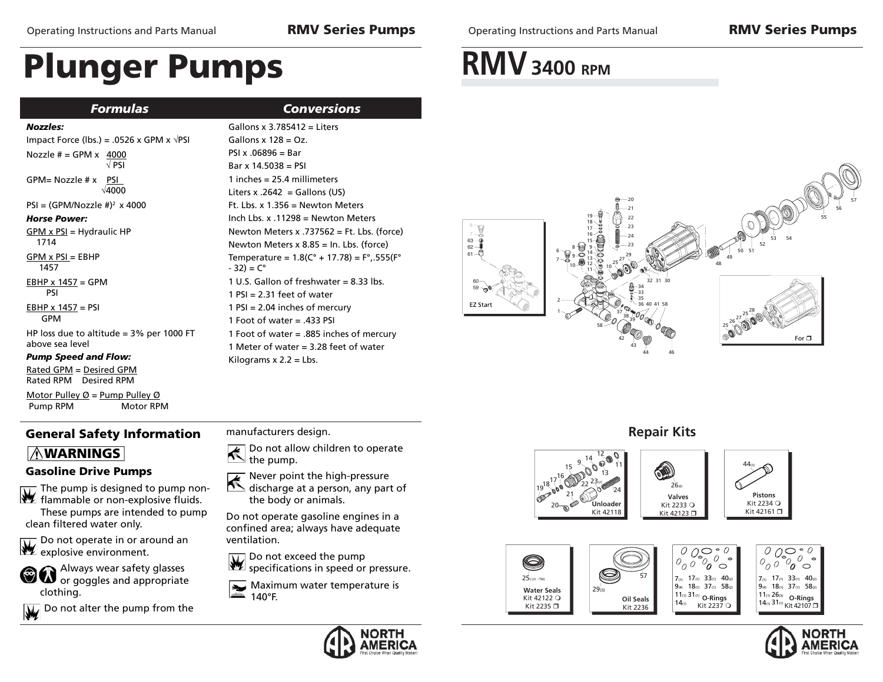*Formulas*

# **Plunger Pumps**

| Conversions |  |  |
|-------------|--|--|

#### *Nozzles:*

| Impact Force (lbs.) = .0526 x GPM x $\sqrt{PSI}$              |
|---------------------------------------------------------------|
| Nozzle $# = GPM \times 4000$<br>√ PSI                         |
| $GPM = Nozzle # x$<br>- PSI<br>$\sqrt{4000}$                  |
| $PSI = (GPM/Nozzle #)^2 \times 4000$                          |
| <b>Horse Power:</b>                                           |
| GPM x PSI = Hydraulic HP<br>1714                              |
| $GPM \times PSI = EBHP$<br>1457                               |
| $EBHP \times 1457 = GPM$<br>psi                               |
| EBHP $x$ 1457 = PSI<br>GPM                                    |
| HP loss due to altitude $=$ 3% per 1000 FT<br>above sea level |

#### *Pump Speed and Flow:*

Rated GPM = Desired GPMRated RPM Desired RPM

Motor Pulley  $\emptyset$  = Pump Pulley  $\emptyset$ Pump RPM Motor RPM

## **General Safety Information**

### **WARNINGS**

### **Gasoline Drive Pumps**

The pump is designed to pump nonflammable or non-explosive fluids. These pumps are intended to pump

clean filtered water only.

Do not operate in or around an **Explosive environment.** 



Do not alter the pump from the

Gallons x 3.785412 = Liters $Gallons \times 128 = Oz$ .  $PSI x .06896 = Bar$ Bar x 14.5038 = PSI1 inches = 25.4 millimetersLiters x .2642 = Gallons (US) Ft. Lbs. x 1.356 = Newton MetersInch Lbs. x .11298 = Newton MetersNewton Meters x .737562 = Ft. Lbs. (force) Newton Meters x 8.85 = In. Lbs. (force) Temperature =  $1.8(C^{\circ} + 17.78) = F^{\circ}$ , 555( $F^{\circ}$  $-32$ ) =  $C^{\circ}$ 1 U.S. Gallon of freshwater = 8.33 lbs. $1$  PSI = 2.31 feet of water  $1$  PSI = 2.04 inches of mercury 1 Foot of water = .433 PSI1 Foot of water = .885 inches of mercury

### manufacturers design.

Kilograms  $x$  2.2 = Lbs.

 $\blacktriangle$ Do not allow children to operate the pump.

Never point the high-pressure

1 Meter of water = 3.28 feet of water

 $\frac{1}{\sqrt{2}}$ discharge at a person, any part of the body or animals.

Do not operate gasoline engines in a confined area; always have adequate ventilation.

Do not exceed the pump specifications in speed or pressure.

Maximum water temperature is  $\blacktriangleright$ 140°F.



## **RMV** 3400 RPM















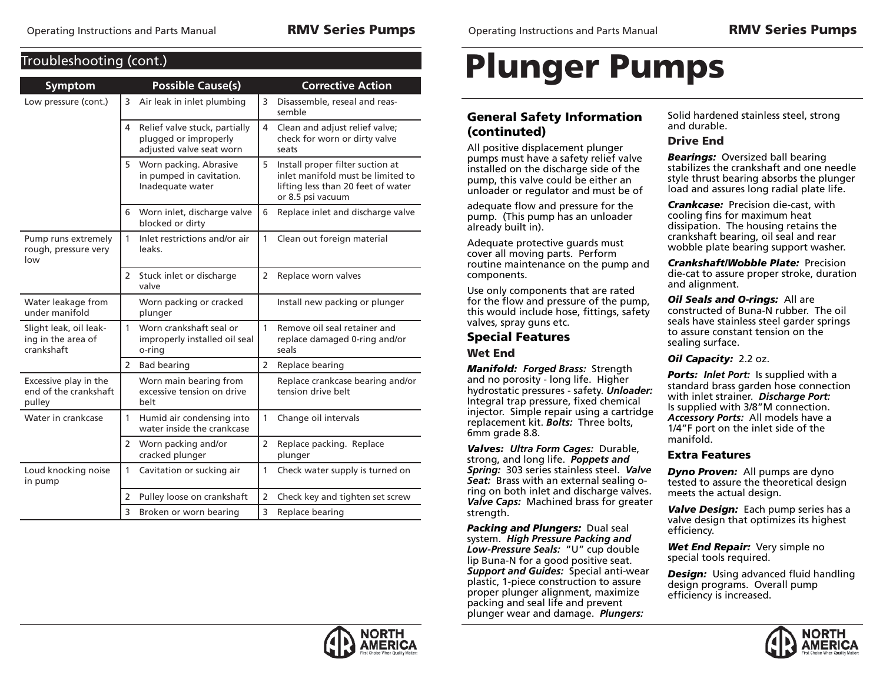**Troubleshooting** (cont)

| <b>Symptom</b>                                             |                | <b>Possible Cause(s)</b>                                                           |                | <b>Corrective Action</b>                                                                                                         |
|------------------------------------------------------------|----------------|------------------------------------------------------------------------------------|----------------|----------------------------------------------------------------------------------------------------------------------------------|
| Low pressure (cont.)                                       | 3              | Air leak in inlet plumbing                                                         | 3              | Disassemble, reseal and reas-<br>semble                                                                                          |
|                                                            | 4              | Relief valve stuck, partially<br>plugged or improperly<br>adjusted valve seat worn | 4              | Clean and adjust relief valve;<br>check for worn or dirty valve<br>seats                                                         |
|                                                            | 5              | Worn packing. Abrasive<br>in pumped in cavitation.<br>Inadequate water             | 5              | Install proper filter suction at<br>inlet manifold must be limited to<br>lifting less than 20 feet of water<br>or 8.5 psi vacuum |
|                                                            | 6              | Worn inlet, discharge valve<br>blocked or dirty                                    | 6              | Replace inlet and discharge valve                                                                                                |
| Pump runs extremely<br>rough, pressure very<br>low         | 1              | Inlet restrictions and/or air<br>leaks.                                            | 1              | Clean out foreign material                                                                                                       |
|                                                            | 2              | Stuck inlet or discharge<br>valve                                                  | 2              | Replace worn valves                                                                                                              |
| Water leakage from<br>under manifold                       |                | Worn packing or cracked<br>plunger                                                 |                | Install new packing or plunger                                                                                                   |
| Slight leak, oil leak-<br>ing in the area of<br>crankshaft | 1              | Worn crankshaft seal or<br>improperly installed oil seal<br>o-ring                 | $\mathbf{1}$   | Remove oil seal retainer and<br>replace damaged 0-ring and/or<br>seals                                                           |
|                                                            | 2              | <b>Bad bearing</b>                                                                 | 2              | Replace bearing                                                                                                                  |
| Excessive play in the<br>end of the crankshaft<br>pulley   |                | Worn main bearing from<br>excessive tension on drive<br>helt                       |                | Replace crankcase bearing and/or<br>tension drive belt                                                                           |
| Water in crankcase                                         | 1              | Humid air condensing into<br>water inside the crankcase                            | $\mathbf{1}$   | Change oil intervals                                                                                                             |
|                                                            | $\overline{2}$ | Worn packing and/or<br>cracked plunger                                             | 2              | Replace packing. Replace<br>plunger                                                                                              |
| Loud knocking noise<br>in pump                             | $\mathbf{1}$   | Cavitation or sucking air                                                          | 1              | Check water supply is turned on                                                                                                  |
|                                                            | 2              | Pulley loose on crankshaft                                                         | $\overline{2}$ | Check key and tighten set screw                                                                                                  |
|                                                            | 3              | Broken or worn bearing                                                             | 3              | Replace bearing                                                                                                                  |

# **Plunger Pumps**

### **General Safety Information (continuted)**

All positive displacement plunger pumps must have a safety relief valve installed on the discharge side of the pump, this valve could be either an unloader or regulator and must be of

adequate flow and pressure for the pump. (This pump has an unloader already built in).

Adequate protective guards must cover all moving parts. Perform routine maintenance on the pump and components.

Use only components that are rated for the flow and pressure of the pump, this would include hose, fittings, safety valves, spray guns etc.

## **Special Features**

### **Wet End**

*Manifold: Forged Brass:* Strength and no porosity - long life. Higher hydrostatic pressures - safety. *Unloader:* Integral trap pressure, fixed chemical injector. Simple repair using a cartridge replacement kit. *Bolts:* Three bolts, 6mm grade 8.8.

*Valves: Ultra Form Cages:* Durable, strong, and long life. *Poppets and Spring:* 303 series stainless steel. *Valve Seat:* Brass with an external sealing oring on both inlet and discharge valves. *Valve Caps:* Machined brass for greater strength.

*Packing and Plungers:* Dual seal system. *High Pressure Packing and Low-Pressure Seals:* "U" cup double lip Buna-N for a good positive seat. *Support and Guides:* Special anti-wear plastic, 1-piece construction to assure proper plunger alignment, maximize packing and seal life and prevent plunger wear and damage. *Plungers:*

Solid hardened stainless steel, strong and durable.

### **Drive End**

*Bearings:* Oversized ball bearing stabilizes the crankshaft and one needle style thrust bearing absorbs the plunger load and assures long radial plate life.

*Crankcase:* Precision die-cast, with cooling fins for maximum heat dissipation. The housing retains the crankshaft bearing, oil seal and rear wobble plate bearing support washer.

*Crankshaft/Wobble Plate:* Precision die-cat to assure proper stroke, duration and alignment.

*Oil Seals and O-rings:* All are constructed of Buna-N rubber. The oil seals have stainless steel garder springs to assure constant tension on the sealing surface.

### *Oil Capacity:* 2.2 oz.

*Ports: Inlet Port:* Is supplied with a standard brass garden hose connection with inlet strainer. *Discharge Port:* Is supplied with 3/8"M connection. *Accessory Ports:* All models have a 1/4"F port on the inlet side of the manifold.

### **Extra Features**

*Dyno Proven:* All pumps are dyno tested to assure the theoretical design meets the actual design.

*Valve Design:* Each pump series has a valve design that optimizes its highest efficiency.

*Wet End Repair:* Very simple no special tools required.

**Design:** Using advanced fluid handling design programs. Overall pump efficiency is increased.



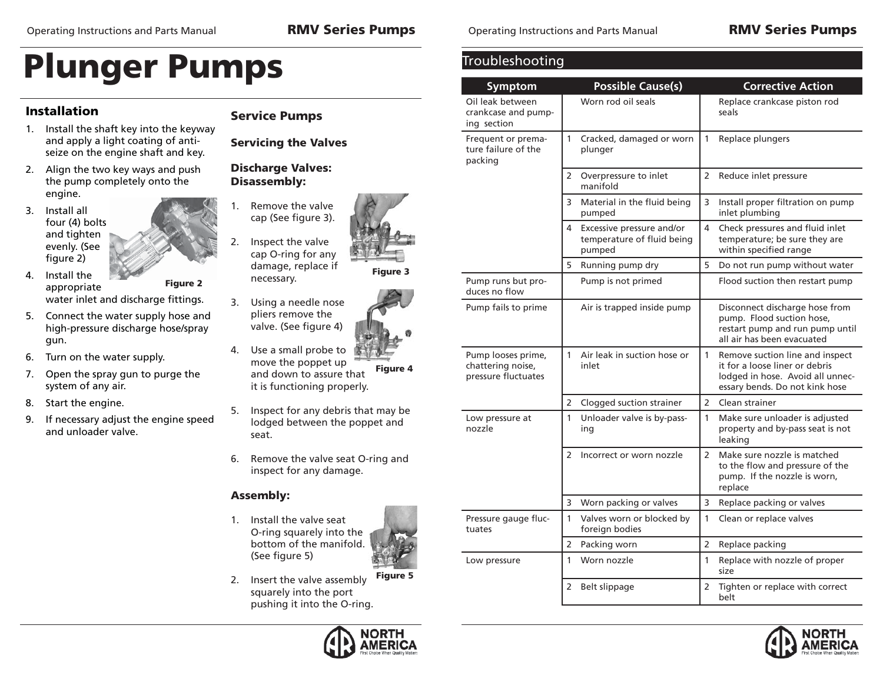### **Installation**

## **Service Pumps**

- 1. Install the shaft key into the keyway and apply a light coating of antiseize on the engine shaft and key.
- 2. Align the two key ways and push the pump completely onto the engine.
- 3. Install all four (4) bolts and tighten evenly. (See figure 2)
- 4. Install the appropriate water inlet and discharge fittings. **Figure 2**
- 5. Connect the water supply hose and high-pressure discharge hose/spray gun.
- 6. Turn on the water supply.
- 7. Open the spray gun to purge the system of any air.
- 8. Start the engine.
- 9. If necessary adjust the engine speed and unloader valve.



**Servicing the Valves**

**Discharge Valves: Disassembly:**

- 2. Inspect the valve cap O-ring for any damage, replace if necessary.
- 3. Using a needle nose pliers remove the valve. (See figure 4)
- 4. Use a small probe to move the poppet up and down to assure that it is functioning properly. **Figure 4**
- 5. Inspect for any debris that may be lodged between the poppet and seat.
- 6. Remove the valve seat O-ring and inspect for any damage.

### **Assembly:**

1. Install the valve seat O-ring squarely into the bottom of the manifold. (See figure 5)





Operating Instructions and Parts Manual **RMV Series Pumps**

| Troubleshooting                                                |                                                                        |                                                                                                                                                         |  |  |  |  |
|----------------------------------------------------------------|------------------------------------------------------------------------|---------------------------------------------------------------------------------------------------------------------------------------------------------|--|--|--|--|
| Symptom                                                        | <b>Possible Cause(s)</b>                                               | <b>Corrective Action</b>                                                                                                                                |  |  |  |  |
| Oil leak between<br>crankcase and pump-<br>ing section         | Worn rod oil seals                                                     | Replace crankcase piston rod<br>seals                                                                                                                   |  |  |  |  |
| Frequent or prema-<br>ture failure of the<br>packing           | $\mathbf{1}$<br>Cracked, damaged or worn<br>plunger                    | 1<br>Replace plungers                                                                                                                                   |  |  |  |  |
|                                                                | $\overline{2}$<br>Overpressure to inlet<br>manifold                    | $\overline{2}$<br>Reduce inlet pressure                                                                                                                 |  |  |  |  |
|                                                                | 3<br>Material in the fluid being<br>pumped                             | 3<br>Install proper filtration on pump<br>inlet plumbing                                                                                                |  |  |  |  |
|                                                                | 4<br>Excessive pressure and/or<br>temperature of fluid being<br>pumped | 4<br>Check pressures and fluid inlet<br>temperature; be sure they are<br>within specified range                                                         |  |  |  |  |
|                                                                | 5<br>Running pump dry                                                  | 5<br>Do not run pump without water                                                                                                                      |  |  |  |  |
| Pump runs but pro-<br>duces no flow                            | Pump is not primed                                                     | Flood suction then restart pump                                                                                                                         |  |  |  |  |
| Pump fails to prime                                            | Air is trapped inside pump                                             | Disconnect discharge hose from<br>pump. Flood suction hose,<br>restart pump and run pump until<br>all air has been evacuated                            |  |  |  |  |
| Pump looses prime,<br>chattering noise,<br>pressure fluctuates | Air leak in suction hose or<br>$\mathbf{1}$<br>inlet                   | $\mathbf{1}$<br>Remove suction line and inspect<br>it for a loose liner or debris<br>lodged in hose. Avoid all unnec-<br>essary bends. Do not kink hose |  |  |  |  |
|                                                                | 2<br>Clogged suction strainer                                          | $\overline{2}$<br>Clean strainer                                                                                                                        |  |  |  |  |
| Low pressure at<br>nozzle                                      | 1<br>Unloader valve is by-pass-<br>ing                                 | 1<br>Make sure unloader is adjusted<br>property and by-pass seat is not<br>leaking                                                                      |  |  |  |  |
|                                                                | $\mathcal{P}$<br>Incorrect or worn nozzle                              | $\overline{2}$<br>Make sure nozzle is matched<br>to the flow and pressure of the<br>pump. If the nozzle is worn,<br>replace                             |  |  |  |  |
|                                                                | 3<br>Worn packing or valves                                            | 3<br>Replace packing or valves                                                                                                                          |  |  |  |  |
| Pressure gauge fluc-<br>tuates                                 | 1<br>Valves worn or blocked by<br>foreign bodies                       | 1<br>Clean or replace valves                                                                                                                            |  |  |  |  |
|                                                                | 2<br>Packing worn                                                      | 2<br>Replace packing                                                                                                                                    |  |  |  |  |
| Low pressure                                                   | 1<br>Worn nozzle                                                       | 1<br>Replace with nozzle of proper<br>size                                                                                                              |  |  |  |  |
|                                                                | 2<br>Belt slippage                                                     | Tighten or replace with correct<br>2<br>belt                                                                                                            |  |  |  |  |



- - - **Figure 3**
	-
- 
- 
- 
- 
- 
-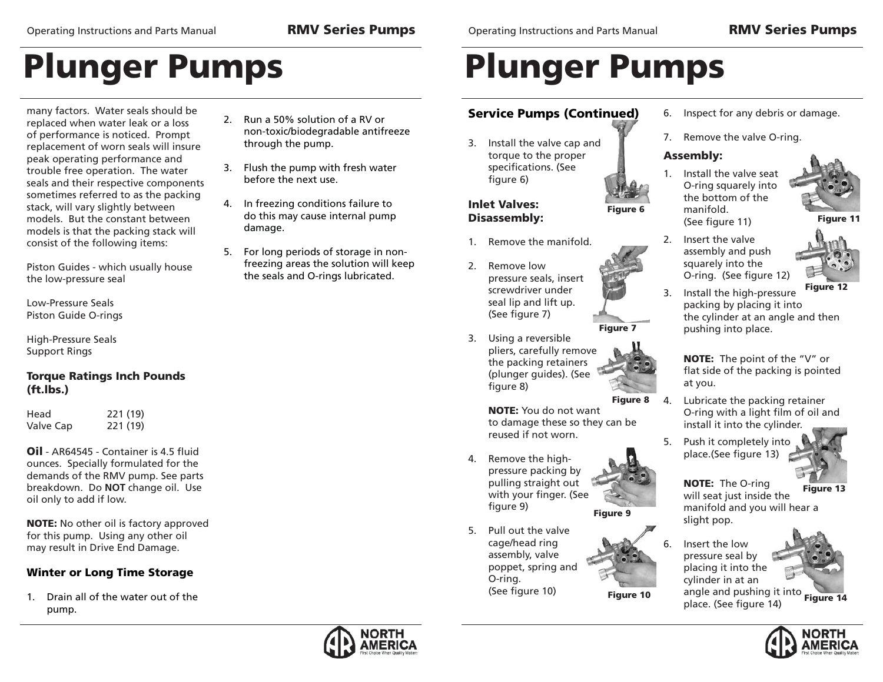many factors. Water seals should be replaced when water leak or a loss of performance is noticed. Prompt replacement of worn seals will insure peak operating performance and trouble free operation. The water seals and their respective components sometimes referred to as the packing stack, will vary slightly between models. But the constant between models is that the packing stack will consist of the following items:

Piston Guides - which usually house the low-pressure seal

Low-Pressure SealsPiston Guide O-rings

High-Pressure Seals Support Rings

### **Torque Ratings Inch Pounds (ft.lbs.)**

Head 221 (19) Valve Cap 221 (19)

**Oil** - AR64545 - Container is 4.5 fluid ounces. Specially formulated for the demands of the RMV pump. See parts breakdown. Do **NOT** change oil. Use oil only to add if low.

**NOTE:** No other oil is factory approved for this pump. Using any other oil may result in Drive End Damage.

### **Winter or Long Time Storage**

1. Drain all of the water out of the pump.

- 2. Run a 50% solution of a RV or non-toxic/biodegradable antifreeze through the pump.
- 3. Flush the pump with fresh water before the next use.
- 4. In freezing conditions failure to do this may cause internal pump damage.
- 5. For long periods of storage in nonfreezing areas the solution will keep the seals and O-rings lubricated.

Operating Instructions and Parts Manual **RMV Series Pumps**

# **Plunger Pumps**

### **Service Pumps (Continued)**

3. Install the valve cap and torque to the proper specifications. (See figure 6)

### **Inlet Valves:Disassembly:**

- 1. Remove the manifold.
- 2. Remove low pressure seals, insert screwdriver under seal lip and lift up. (See figure 7)
- 3. Using a reversible pliers, carefully remove the packing retainers (plunger guides). (See figure 8)
	- **Figure 8**

**Figure 10**

 **NOTE:** You do not want to damage these so they can be reused if not worn.

- **Figure 9** 4. Remove the highpressure packing by pulling straight out with your finger. (See figure 9)
- 5. Pull out the valve cage/head ring assembly, valve poppet, spring and O-ring. (See figure 10)



7. Remove the valve O-ring.

### **Assembly:**

1. Install the valve seat O-ring squarely into the bottom of the manifold. (See figure 11)

2. Insert the valve assembly and push squarely into the O-ring. (See figure 12)

- **Figure 11**
- 
- **Figure 12** 3. Install the high-pressure packing by placing it into the cylinder at an angle and then pushing into place.

 **NOTE:** The point of the "V" or flat side of the packing is pointed at you.

- 4. Lubricate the packing retainer O-ring with a light film of oil and install it into the cylinder.
- 5. Push it completely into place.(See figure 13)



**Figure 13 NOTE:** The O-ring will seat just inside the manifold and you will hear a slight pop.

angle and pushing it into<br>nlass(Sas fimure 14) 6. Insert the low pressure seal by placing it into the cylinder in at an place. (See figure 14)







**Figure 6**

**Figure 7**